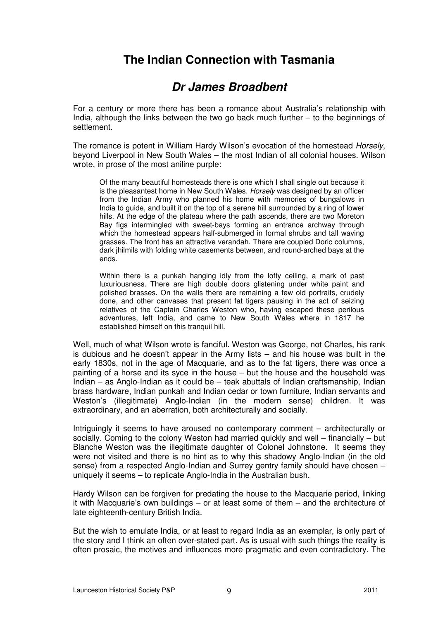## **The Indian Connection with Tasmania**

## **Dr James Broadbent**

For a century or more there has been a romance about Australia's relationship with India, although the links between the two go back much further – to the beginnings of settlement.

The romance is potent in William Hardy Wilson's evocation of the homestead Horsely, beyond Liverpool in New South Wales – the most Indian of all colonial houses. Wilson wrote, in prose of the most aniline purple:

Of the many beautiful homesteads there is one which I shall single out because it is the pleasantest home in New South Wales. Horsely was designed by an officer from the Indian Army who planned his home with memories of bungalows in India to guide, and built it on the top of a serene hill surrounded by a ring of lower hills. At the edge of the plateau where the path ascends, there are two Moreton Bay figs intermingled with sweet-bays forming an entrance archway through which the homestead appears half-submerged in formal shrubs and tall waving grasses. The front has an attractive verandah. There are coupled Doric columns, dark jhilmils with folding white casements between, and round-arched bays at the ends.

Within there is a punkah hanging idly from the lofty ceiling, a mark of past luxuriousness. There are high double doors glistening under white paint and polished brasses. On the walls there are remaining a few old portraits, crudely done, and other canvases that present fat tigers pausing in the act of seizing relatives of the Captain Charles Weston who, having escaped these perilous adventures, left India, and came to New South Wales where in 1817 he established himself on this tranquil hill.

Well, much of what Wilson wrote is fanciful. Weston was George, not Charles, his rank is dubious and he doesn't appear in the Army lists – and his house was built in the early 1830s, not in the age of Macquarie, and as to the fat tigers, there was once a painting of a horse and its syce in the house – but the house and the household was Indian – as Anglo-Indian as it could be – teak abuttals of Indian craftsmanship, Indian brass hardware, Indian punkah and Indian cedar or town furniture, Indian servants and Weston's (illegitimate) Anglo-Indian (in the modern sense) children. It was extraordinary, and an aberration, both architecturally and socially.

Intriguingly it seems to have aroused no contemporary comment – architecturally or socially. Coming to the colony Weston had married quickly and well – financially – but Blanche Weston was the illegitimate daughter of Colonel Johnstone. It seems they were not visited and there is no hint as to why this shadowy Anglo-Indian (in the old sense) from a respected Anglo-Indian and Surrey gentry family should have chosen – uniquely it seems – to replicate Anglo-India in the Australian bush.

Hardy Wilson can be forgiven for predating the house to the Macquarie period, linking it with Macquarie's own buildings – or at least some of them – and the architecture of late eighteenth-century British India.

But the wish to emulate India, or at least to regard India as an exemplar, is only part of the story and I think an often over-stated part. As is usual with such things the reality is often prosaic, the motives and influences more pragmatic and even contradictory. The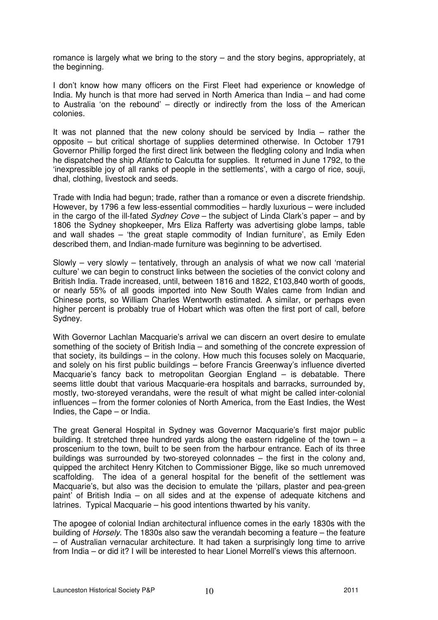romance is largely what we bring to the story – and the story begins, appropriately, at the beginning.

I don't know how many officers on the First Fleet had experience or knowledge of India. My hunch is that more had served in North America than India – and had come to Australia 'on the rebound' – directly or indirectly from the loss of the American colonies.

It was not planned that the new colony should be serviced by India – rather the opposite – but critical shortage of supplies determined otherwise. In October 1791 Governor Phillip forged the first direct link between the fledgling colony and India when he dispatched the ship Atlantic to Calcutta for supplies. It returned in June 1792, to the 'inexpressible joy of all ranks of people in the settlements', with a cargo of rice, souji, dhal, clothing, livestock and seeds.

Trade with India had begun; trade, rather than a romance or even a discrete friendship. However, by 1796 a few less-essential commodities – hardly luxurious – were included in the cargo of the ill-fated Sydney Cove – the subject of Linda Clark's paper – and by 1806 the Sydney shopkeeper, Mrs Eliza Rafferty was advertising globe lamps, table and wall shades – 'the great staple commodity of Indian furniture', as Emily Eden described them, and Indian-made furniture was beginning to be advertised.

Slowly – very slowly – tentatively, through an analysis of what we now call 'material culture' we can begin to construct links between the societies of the convict colony and British India. Trade increased, until, between 1816 and 1822, £103,840 worth of goods, or nearly 55% of all goods imported into New South Wales came from Indian and Chinese ports, so William Charles Wentworth estimated. A similar, or perhaps even higher percent is probably true of Hobart which was often the first port of call, before Sydney.

With Governor Lachlan Macquarie's arrival we can discern an overt desire to emulate something of the society of British India – and something of the concrete expression of that society, its buildings – in the colony. How much this focuses solely on Macquarie, and solely on his first public buildings – before Francis Greenway's influence diverted Macquarie's fancy back to metropolitan Georgian England – is debatable. There seems little doubt that various Macquarie-era hospitals and barracks, surrounded by, mostly, two-storeyed verandahs, were the result of what might be called inter-colonial influences – from the former colonies of North America, from the East Indies, the West Indies, the Cape – or India.

The great General Hospital in Sydney was Governor Macquarie's first major public building. It stretched three hundred vards along the eastern ridgeline of the town  $- a$ proscenium to the town, built to be seen from the harbour entrance. Each of its three buildings was surrounded by two-storeyed colonnades – the first in the colony and, quipped the architect Henry Kitchen to Commissioner Bigge, like so much unremoved scaffolding. The idea of a general hospital for the benefit of the settlement was Macquarie's, but also was the decision to emulate the 'pillars, plaster and pea-green paint' of British India – on all sides and at the expense of adequate kitchens and latrines. Typical Macquarie – his good intentions thwarted by his vanity.

The apogee of colonial Indian architectural influence comes in the early 1830s with the building of Horsely. The 1830s also saw the verandah becoming a feature – the feature – of Australian vernacular architecture. It had taken a surprisingly long time to arrive from India – or did it? I will be interested to hear Lionel Morrell's views this afternoon.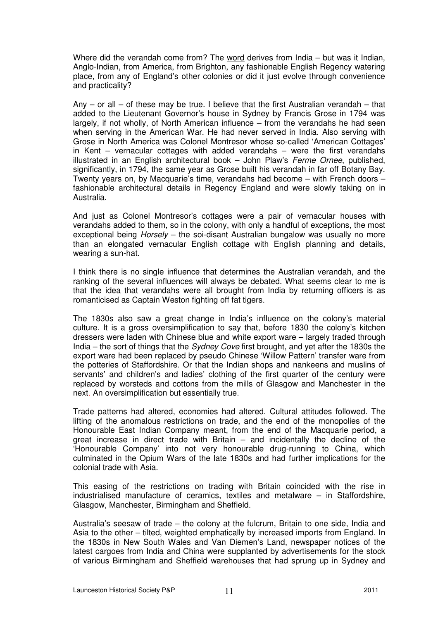Where did the verandah come from? The word derives from India – but was it Indian, Anglo-Indian, from America, from Brighton, any fashionable English Regency watering place, from any of England's other colonies or did it just evolve through convenience and practicality?

Any – or all – of these may be true. I believe that the first Australian verandah – that added to the Lieutenant Governor's house in Sydney by Francis Grose in 1794 was largely, if not wholly, of North American influence – from the verandahs he had seen when serving in the American War. He had never served in India. Also serving with Grose in North America was Colonel Montresor whose so-called 'American Cottages' in Kent – vernacular cottages with added verandahs – were the first verandahs illustrated in an English architectural book – John Plaw's Ferme Ornee, published, significantly, in 1794, the same year as Grose built his verandah in far off Botany Bay. Twenty years on, by Macquarie's time, verandahs had become – with French doors – fashionable architectural details in Regency England and were slowly taking on in Australia.

And just as Colonel Montresor's cottages were a pair of vernacular houses with verandahs added to them, so in the colony, with only a handful of exceptions, the most exceptional being *Horsely* – the soi-disant Australian bungalow was usually no more than an elongated vernacular English cottage with English planning and details, wearing a sun-hat.

I think there is no single influence that determines the Australian verandah, and the ranking of the several influences will always be debated. What seems clear to me is that the idea that verandahs were all brought from India by returning officers is as romanticised as Captain Weston fighting off fat tigers.

The 1830s also saw a great change in India's influence on the colony's material culture. It is a gross oversimplification to say that, before 1830 the colony's kitchen dressers were laden with Chinese blue and white export ware – largely traded through India – the sort of things that the Sydney Cove first brought, and yet after the 1830s the export ware had been replaced by pseudo Chinese 'Willow Pattern' transfer ware from the potteries of Staffordshire. Or that the Indian shops and nankeens and muslins of servants' and children's and ladies' clothing of the first quarter of the century were replaced by worsteds and cottons from the mills of Glasgow and Manchester in the next. An oversimplification but essentially true.

Trade patterns had altered, economies had altered. Cultural attitudes followed. The lifting of the anomalous restrictions on trade, and the end of the monopolies of the Honourable East Indian Company meant, from the end of the Macquarie period, a great increase in direct trade with Britain – and incidentally the decline of the 'Honourable Company' into not very honourable drug-running to China, which culminated in the Opium Wars of the late 1830s and had further implications for the colonial trade with Asia.

This easing of the restrictions on trading with Britain coincided with the rise in industrialised manufacture of ceramics, textiles and metalware – in Staffordshire, Glasgow, Manchester, Birmingham and Sheffield.

Australia's seesaw of trade – the colony at the fulcrum, Britain to one side, India and Asia to the other – tilted, weighted emphatically by increased imports from England. In the 1830s in New South Wales and Van Diemen's Land, newspaper notices of the latest cargoes from India and China were supplanted by advertisements for the stock of various Birmingham and Sheffield warehouses that had sprung up in Sydney and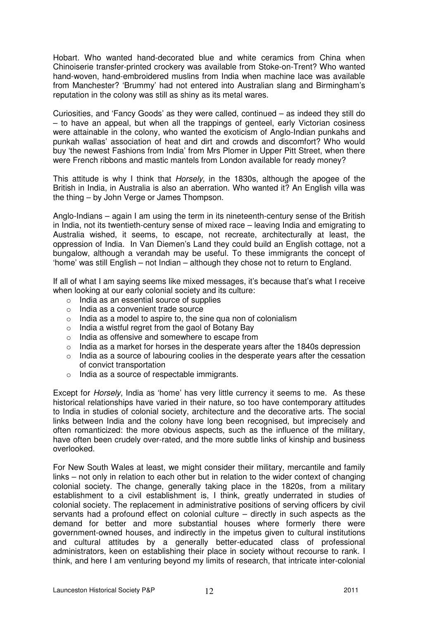Hobart. Who wanted hand-decorated blue and white ceramics from China when Chinoiserie transfer-printed crockery was available from Stoke-on-Trent? Who wanted hand-woven, hand-embroidered muslins from India when machine lace was available from Manchester? 'Brummy' had not entered into Australian slang and Birmingham's reputation in the colony was still as shiny as its metal wares.

Curiosities, and 'Fancy Goods' as they were called, continued – as indeed they still do – to have an appeal, but when all the trappings of genteel, early Victorian cosiness were attainable in the colony, who wanted the exoticism of Anglo-Indian punkahs and punkah wallas' association of heat and dirt and crowds and discomfort? Who would buy 'the newest Fashions from India' from Mrs Plomer in Upper Pitt Street, when there were French ribbons and mastic mantels from London available for ready money?

This attitude is why I think that Horsely, in the 1830s, although the apogee of the British in India, in Australia is also an aberration. Who wanted it? An English villa was the thing – by John Verge or James Thompson.

Anglo-Indians – again I am using the term in its nineteenth-century sense of the British in India, not its twentieth-century sense of mixed race – leaving India and emigrating to Australia wished, it seems, to escape, not recreate, architecturally at least, the oppression of India. In Van Diemen's Land they could build an English cottage, not a bungalow, although a verandah may be useful. To these immigrants the concept of 'home' was still English – not Indian – although they chose not to return to England.

If all of what I am saying seems like mixed messages, it's because that's what I receive when looking at our early colonial society and its culture:

- o India as an essential source of supplies
- o India as a convenient trade source
- $\circ$  India as a model to aspire to, the sine qua non of colonialism
- $\circ$  India a wistful regret from the gaol of Botany Bay
- o India as offensive and somewhere to escape from
- $\circ$  India as a market for horses in the desperate years after the 1840s depression
- o India as a source of labouring coolies in the desperate years after the cessation of convict transportation
- o India as a source of respectable immigrants.

Except for *Horsely*, India as 'home' has very little currency it seems to me. As these historical relationships have varied in their nature, so too have contemporary attitudes to India in studies of colonial society, architecture and the decorative arts. The social links between India and the colony have long been recognised, but imprecisely and often romanticized: the more obvious aspects, such as the influence of the military, have often been crudely over-rated, and the more subtle links of kinship and business overlooked.

For New South Wales at least, we might consider their military, mercantile and family links – not only in relation to each other but in relation to the wider context of changing colonial society. The change, generally taking place in the 1820s, from a military establishment to a civil establishment is, I think, greatly underrated in studies of colonial society. The replacement in administrative positions of serving officers by civil servants had a profound effect on colonial culture – directly in such aspects as the demand for better and more substantial houses where formerly there were government-owned houses, and indirectly in the impetus given to cultural institutions and cultural attitudes by a generally better-educated class of professional administrators, keen on establishing their place in society without recourse to rank. I think, and here I am venturing beyond my limits of research, that intricate inter-colonial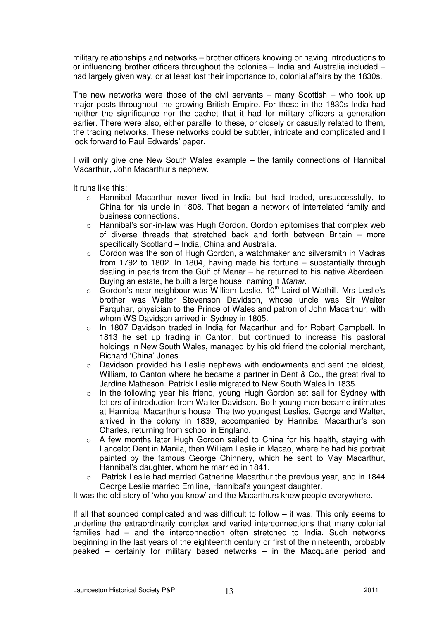military relationships and networks – brother officers knowing or having introductions to or influencing brother officers throughout the colonies – India and Australia included – had largely given way, or at least lost their importance to, colonial affairs by the 1830s.

The new networks were those of the civil servants  $-$  many Scottish  $-$  who took up major posts throughout the growing British Empire. For these in the 1830s India had neither the significance nor the cachet that it had for military officers a generation earlier. There were also, either parallel to these, or closely or casually related to them, the trading networks. These networks could be subtler, intricate and complicated and I look forward to Paul Edwards' paper.

I will only give one New South Wales example – the family connections of Hannibal Macarthur, John Macarthur's nephew.

It runs like this:

- o Hannibal Macarthur never lived in India but had traded, unsuccessfully, to China for his uncle in 1808. That began a network of interrelated family and business connections.
- $\circ$  Hannibal's son-in-law was Hugh Gordon. Gordon epitomises that complex web of diverse threads that stretched back and forth between Britain – more specifically Scotland – India, China and Australia.
- o Gordon was the son of Hugh Gordon, a watchmaker and silversmith in Madras from 1792 to 1802. In 1804, having made his fortune – substantially through dealing in pearls from the Gulf of Manar – he returned to his native Aberdeen. Buying an estate, he built a large house, naming it Manar.
- $\circ$  Gordon's near neighbour was William Leslie,  $10^{th}$  Laird of Wathill. Mrs Leslie's brother was Walter Stevenson Davidson, whose uncle was Sir Walter Farquhar, physician to the Prince of Wales and patron of John Macarthur, with whom WS Davidson arrived in Sydney in 1805.
- $\circ$  In 1807 Davidson traded in India for Macarthur and for Robert Campbell. In 1813 he set up trading in Canton, but continued to increase his pastoral holdings in New South Wales, managed by his old friend the colonial merchant, Richard 'China' Jones.
- o Davidson provided his Leslie nephews with endowments and sent the eldest, William, to Canton where he became a partner in Dent & Co., the great rival to Jardine Matheson. Patrick Leslie migrated to New South Wales in 1835.
- o In the following year his friend, young Hugh Gordon set sail for Sydney with letters of introduction from Walter Davidson. Both young men became intimates at Hannibal Macarthur's house. The two youngest Leslies, George and Walter, arrived in the colony in 1839, accompanied by Hannibal Macarthur's son Charles, returning from school in England.
- A few months later Hugh Gordon sailed to China for his health, staying with Lancelot Dent in Manila, then William Leslie in Macao, where he had his portrait painted by the famous George Chinnery, which he sent to May Macarthur, Hannibal's daughter, whom he married in 1841.
- Patrick Leslie had married Catherine Macarthur the previous year, and in 1844 George Leslie married Emiline, Hannibal's youngest daughter.

It was the old story of 'who you know' and the Macarthurs knew people everywhere.

If all that sounded complicated and was difficult to follow – it was. This only seems to underline the extraordinarily complex and varied interconnections that many colonial families had – and the interconnection often stretched to India. Such networks beginning in the last years of the eighteenth century or first of the nineteenth, probably peaked – certainly for military based networks – in the Macquarie period and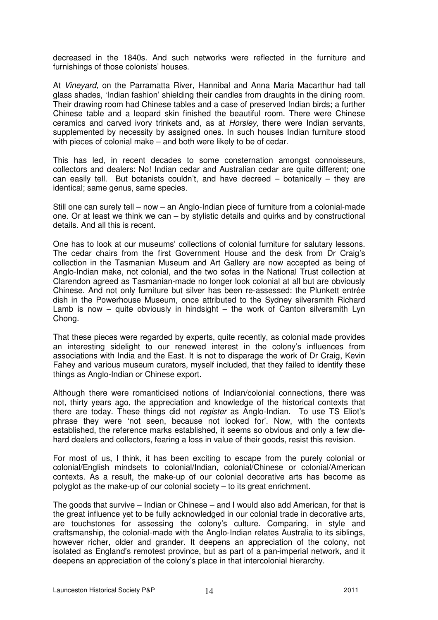decreased in the 1840s. And such networks were reflected in the furniture and furnishings of those colonists' houses.

At Vineyard, on the Parramatta River, Hannibal and Anna Maria Macarthur had tall glass shades, 'Indian fashion' shielding their candles from draughts in the dining room. Their drawing room had Chinese tables and a case of preserved Indian birds; a further Chinese table and a leopard skin finished the beautiful room. There were Chinese ceramics and carved ivory trinkets and, as at Horsley, there were Indian servants, supplemented by necessity by assigned ones. In such houses Indian furniture stood with pieces of colonial make – and both were likely to be of cedar.

This has led, in recent decades to some consternation amongst connoisseurs, collectors and dealers: No! Indian cedar and Australian cedar are quite different; one can easily tell. But botanists couldn't, and have decreed – botanically – they are identical; same genus, same species.

Still one can surely tell – now – an Anglo-Indian piece of furniture from a colonial-made one. Or at least we think we can – by stylistic details and quirks and by constructional details. And all this is recent.

One has to look at our museums' collections of colonial furniture for salutary lessons. The cedar chairs from the first Government House and the desk from Dr Craig's collection in the Tasmanian Museum and Art Gallery are now accepted as being of Anglo-Indian make, not colonial, and the two sofas in the National Trust collection at Clarendon agreed as Tasmanian-made no longer look colonial at all but are obviously Chinese. And not only furniture but silver has been re-assessed: the Plunkett entrée dish in the Powerhouse Museum, once attributed to the Sydney silversmith Richard Lamb is now  $-$  quite obviously in hindsight  $-$  the work of Canton silversmith Lyn Chong.

That these pieces were regarded by experts, quite recently, as colonial made provides an interesting sidelight to our renewed interest in the colony's influences from associations with India and the East. It is not to disparage the work of Dr Craig, Kevin Fahey and various museum curators, myself included, that they failed to identify these things as Anglo-Indian or Chinese export.

Although there were romanticised notions of Indian/colonial connections, there was not, thirty years ago, the appreciation and knowledge of the historical contexts that there are today. These things did not register as Anglo-Indian. To use TS Eliot's phrase they were 'not seen, because not looked for'. Now, with the contexts established, the reference marks established, it seems so obvious and only a few diehard dealers and collectors, fearing a loss in value of their goods, resist this revision.

For most of us, I think, it has been exciting to escape from the purely colonial or colonial/English mindsets to colonial/Indian, colonial/Chinese or colonial/American contexts. As a result, the make-up of our colonial decorative arts has become as polyglot as the make-up of our colonial society – to its great enrichment.

The goods that survive – Indian or Chinese – and I would also add American, for that is the great influence yet to be fully acknowledged in our colonial trade in decorative arts, are touchstones for assessing the colony's culture. Comparing, in style and craftsmanship, the colonial-made with the Anglo-Indian relates Australia to its siblings, however richer, older and grander. It deepens an appreciation of the colony, not isolated as England's remotest province, but as part of a pan-imperial network, and it deepens an appreciation of the colony's place in that intercolonial hierarchy.